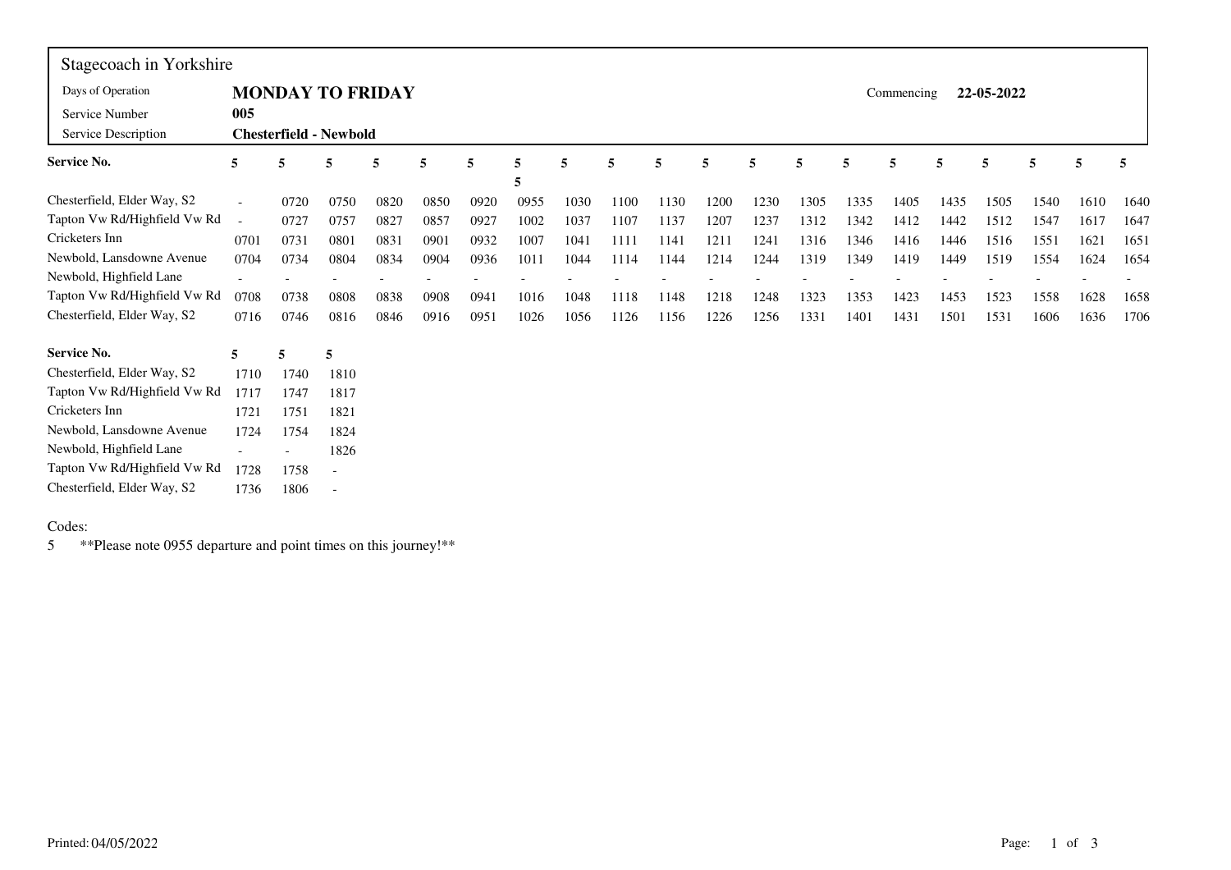| Stagecoach in Yorkshire      |        |      |                               |      |      |      |      |      |      |      |      |      |      |      |            |      |            |      |      |      |
|------------------------------|--------|------|-------------------------------|------|------|------|------|------|------|------|------|------|------|------|------------|------|------------|------|------|------|
| Days of Operation            |        |      | <b>MONDAY TO FRIDAY</b>       |      |      |      |      |      |      |      |      |      |      |      | Commencing |      | 22-05-2022 |      |      |      |
| Service Number               | 005    |      |                               |      |      |      |      |      |      |      |      |      |      |      |            |      |            |      |      |      |
| Service Description          |        |      | <b>Chesterfield - Newbold</b> |      |      |      |      |      |      |      |      |      |      |      |            |      |            |      |      |      |
| Service No.                  | 5      | 5    | 5                             | 5    | 5    | 5    | 5    | 5    | 5    | 5    | 5    | 5    | 5    | 5    | 5          | 5    | 5          | 5    | 5    | 5    |
|                              |        |      |                               |      |      |      | 5    |      |      |      |      |      |      |      |            |      |            |      |      |      |
| Chesterfield, Elder Way, S2  |        | 0720 | 0750                          | 0820 | 0850 | 0920 | 0955 | 1030 | 1100 | 1130 | 1200 | 1230 | 1305 | 1335 | 1405       | 1435 | 1505       | 1540 | 1610 | 1640 |
| Tapton Vw Rd/Highfield Vw Rd | $\sim$ | 0727 | 0757                          | 0827 | 0857 | 0927 | 1002 | 1037 | 1107 | 1137 | 1207 | 1237 | 1312 | 1342 | 1412       | 1442 | 1512       | 1547 | 1617 | 1647 |
| Cricketers Inn               | 0701   | 0731 | 0801                          | 0831 | 0901 | 0932 | 1007 | 1041 | 1111 | 1141 | 1211 | 1241 | 1316 | 1346 | 1416       | 1446 | 1516       | 1551 | 1621 | 1651 |
| Newbold, Lansdowne Avenue    | 0704   | 0734 | 0804                          | 0834 | 0904 | 0936 | 1011 | 1044 | 1114 | 1144 | 1214 | 1244 | 1319 | 1349 | 1419       | 1449 | 1519       | 1554 | 1624 | 1654 |
| Newbold, Highfield Lane      |        |      |                               |      |      |      |      |      |      |      |      |      |      |      |            |      |            |      |      |      |
| Tapton Vw Rd/Highfield Vw Rd | 0708   | 0738 | 0808                          | 0838 | 0908 | 0941 | 1016 | 1048 | 1118 | 1148 | 1218 | 1248 | 1323 | 1353 | 1423       | 1453 | 1523       | 1558 | 1628 | 1658 |
| Chesterfield, Elder Way, S2  | 0716   | 0746 | 0816                          | 0846 | 0916 | 0951 | 1026 | 1056 | 1126 | 1156 | 1226 | 1256 | 1331 | 1401 | 1431       | 1501 | 1531       | 1606 | 1636 | 1706 |
| Service No.                  | 5      | 5    | 5                             |      |      |      |      |      |      |      |      |      |      |      |            |      |            |      |      |      |
| Chesterfield, Elder Way, S2  | 1710   | 1740 | 1810                          |      |      |      |      |      |      |      |      |      |      |      |            |      |            |      |      |      |
| Tapton Vw Rd/Highfield Vw Rd | 1717   | 1747 | 1817                          |      |      |      |      |      |      |      |      |      |      |      |            |      |            |      |      |      |
| Cricketers Inn               | 1721   | 1751 | 1821                          |      |      |      |      |      |      |      |      |      |      |      |            |      |            |      |      |      |
| Newbold, Lansdowne Avenue    | 1724   | 1754 | 1824                          |      |      |      |      |      |      |      |      |      |      |      |            |      |            |      |      |      |
| Newbold, Highfield Lane      |        |      | 1826                          |      |      |      |      |      |      |      |      |      |      |      |            |      |            |      |      |      |
| Tapton Vw Rd/Highfield Vw Rd | 1728   | 1758 |                               |      |      |      |      |      |      |      |      |      |      |      |            |      |            |      |      |      |
| Chesterfield, Elder Way, S2  | 1736   | 1806 |                               |      |      |      |      |      |      |      |      |      |      |      |            |      |            |      |      |      |

## Codes:

5 \*\*Please note 0955 departure and point times on this journey!\*\*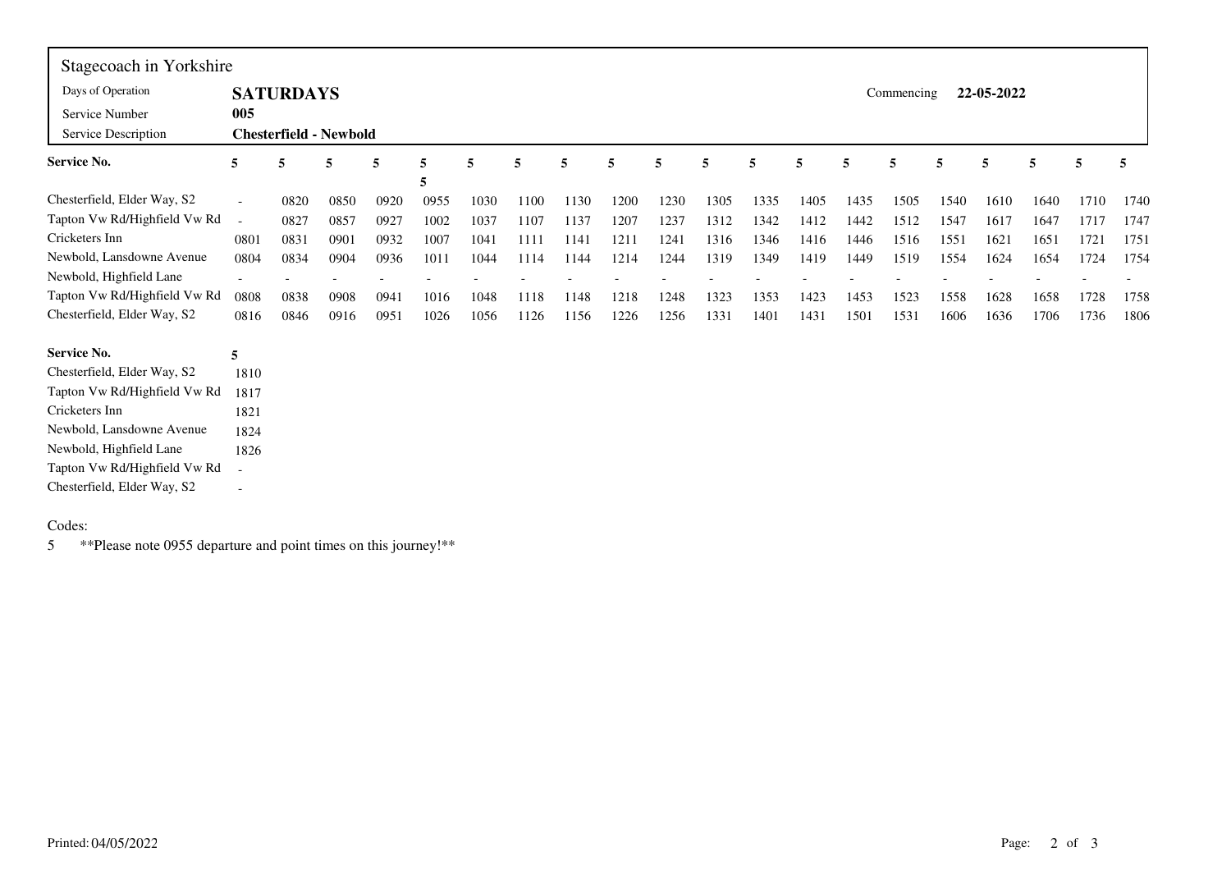| Stagecoach in Yorkshire      |                          |                               |      |      |      |      |      |      |      |      |      |      |      |      |            |      |            |      |      |      |
|------------------------------|--------------------------|-------------------------------|------|------|------|------|------|------|------|------|------|------|------|------|------------|------|------------|------|------|------|
| Days of Operation            |                          | <b>SATURDAYS</b>              |      |      |      |      |      |      |      |      |      |      |      |      | Commencing |      | 22-05-2022 |      |      |      |
| Service Number               | 005                      |                               |      |      |      |      |      |      |      |      |      |      |      |      |            |      |            |      |      |      |
| Service Description          |                          | <b>Chesterfield - Newbold</b> |      |      |      |      |      |      |      |      |      |      |      |      |            |      |            |      |      |      |
| <b>Service No.</b>           | 5                        | 5                             | 5    | 5    | 5    | 5    | 5    | 5    | 5    | 5    | 5    | 5    | 5    | 5    | 5          | 5    | 5          | 5    | 5    | 5    |
|                              |                          |                               |      |      | 5    |      |      |      |      |      |      |      |      |      |            |      |            |      |      |      |
| Chesterfield, Elder Way, S2  | $\overline{\phantom{a}}$ | 0820                          | 0850 | 0920 | 0955 | 1030 | 1100 | 1130 | 1200 | 1230 | 1305 | 1335 | 1405 | 1435 | 1505       | 1540 | 1610       | 1640 | 1710 | 1740 |
| Tapton Vw Rd/Highfield Vw Rd | $\overline{a}$           | 0827                          | 0857 | 0927 | 1002 | 1037 | 1107 | 1137 | 1207 | 1237 | 1312 | 1342 | 1412 | 1442 | 1512       | 1547 | 1617       | 1647 | 1717 | 1747 |
| Cricketers Inn               | 0801                     | 0831                          | 0901 | 0932 | 1007 | 1041 | 1111 | 1141 | 1211 | 1241 | 1316 | 1346 | 1416 | 1446 | 1516       | 1551 | 1621       | 1651 | 1721 | 1751 |
| Newbold, Lansdowne Avenue    | 0804                     | 0834                          | 0904 | 0936 | 1011 | 1044 | 1114 | 1144 | 1214 | 1244 | 1319 | 1349 | 1419 | 1449 | 1519       | 1554 | 1624       | 1654 | 1724 | 1754 |
| Newbold, Highfield Lane      | $\overline{\phantom{a}}$ |                               |      |      |      |      |      |      |      |      |      |      |      |      |            |      |            |      |      |      |
| Tapton Vw Rd/Highfield Vw Rd | 0808                     | 0838                          | 0908 | 0941 | 1016 | 1048 | 1118 | 1148 | 1218 | 1248 | 1323 | 1353 | 1423 | 1453 | 1523       | 1558 | 1628       | 1658 | 1728 | 1758 |
| Chesterfield, Elder Way, S2  | 0816                     | 0846                          | 0916 | 0951 | 1026 | 1056 | 1126 | 1156 | 1226 | 1256 | 1331 | 1401 | 1431 | 1501 | 1531       | 1606 | 1636       | 1706 | 1736 | 1806 |
| <b>Service No.</b>           | 5                        |                               |      |      |      |      |      |      |      |      |      |      |      |      |            |      |            |      |      |      |
| Chesterfield, Elder Way, S2  | 1810                     |                               |      |      |      |      |      |      |      |      |      |      |      |      |            |      |            |      |      |      |
| Tapton Vw Rd/Highfield Vw Rd | 1817                     |                               |      |      |      |      |      |      |      |      |      |      |      |      |            |      |            |      |      |      |
| Cricketers Inn               | 1821                     |                               |      |      |      |      |      |      |      |      |      |      |      |      |            |      |            |      |      |      |
| Newbold, Lansdowne Avenue    | 1824                     |                               |      |      |      |      |      |      |      |      |      |      |      |      |            |      |            |      |      |      |
| Newbold, Highfield Lane      | 1826                     |                               |      |      |      |      |      |      |      |      |      |      |      |      |            |      |            |      |      |      |
| Tapton Vw Rd/Highfield Vw Rd | $\overline{\phantom{a}}$ |                               |      |      |      |      |      |      |      |      |      |      |      |      |            |      |            |      |      |      |
| Chesterfield, Elder Way, S2  | $\overline{\phantom{a}}$ |                               |      |      |      |      |      |      |      |      |      |      |      |      |            |      |            |      |      |      |

## Codes:

5 \*\*Please note 0955 departure and point times on this journey!\*\*